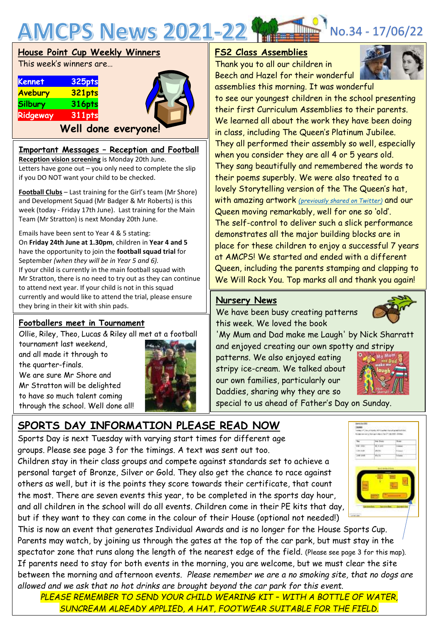

|                | House Point Cup Weekly Winners |  |
|----------------|--------------------------------|--|
|                | This week's winners are        |  |
| Kennet         | 325pts                         |  |
| Avebury        | 321pts                         |  |
| <b>Silbury</b> | <b>316pts</b>                  |  |
| Ridgeway       | <b>311pts</b>                  |  |
|                | Well done everyone!            |  |

#### **Important Messages – Reception and Football**

**Reception vision screening** is Monday 20th June. Letters have gone out  $-$  you only need to complete the slip if you DO NOT want your child to be checked.

**Football Clubs** – Last training for the Girl's team (Mr Shore) and Development Squad (Mr Badger & Mr Roberts) is this week (today - Friday 17th June). Last training for the Main Team (Mr Stratton) is next Monday 20th June.

Emails have been sent to Year 4 & 5 stating:

On **Friday 24th June at 1.30pm**, children in **Year 4 and 5** have the opportunity to join the **football squad trial** for September *(when they will be in Year 5 and 6).* If your child is currently in the main football squad with Mr Stratton, there is no need to try out as they can continue to attend next year. If your child is not in this squad currently and would like to attend the trial, please ensure they bring in their kit with shin pads.

#### **Footballers meet in Tournament**

Ollie, Riley, Theo, Lucas & Riley all met at a football

tournament last weekend, and all made it through to



the quarter-finals. We are sure Mr Shore and Mr Stratton will be delighted to have so much talent coming through the school. Well done all!

# **SPORTS DAY INFORMATION PLEASE READ NOW**

Sports Day is next Tuesday with varying start times for different age groups. Please see page 3 for the timings. A text was sent out too.

Children stay in their class groups and compete against standards set to achieve a personal target of Bronze, Silver or Gold. They also get the chance to race against others as well, but it is the points they score towards their certificate, that count the most. There are seven events this year, to be completed in the sports day hour, and all children in the school will do all events. Children come in their PE kits that day, but if they want to they can come in the colour of their House (optional not needed!)

This is now an event that generates Individual Awards and is no longer for the House Sports Cup. Parents may watch, by joining us through the gates at the top of the car park, but must stay in the spectator zone that runs along the length of the nearest edge of the field. (Please see page 3 for this map). If parents need to stay for both events in the morning, you are welcome, but we must clear the site between the morning and afternoon events. *Please remember we are a no smoking site, that no dogs are allowed and we ask that no hot drinks are brought beyond the car park for this event.*

**PLEASE REMEMBER TO SEND YOUR CHILD WEARING KIT - WITH A BOTTLE OF WATER,** *SUNCREAM ALREADY APPLIED, A HAT, FOOTWEAR SUITABLE FOR THE FIELD.*

#### **FS2 Class Assemblies**

Thank you to all our children in Beech and Hazel for their wonderful assemblies this morning. It was wonderful



to see our youngest children in the school presenting their first Curriculum Assemblies to their parents. We learned all about the work they have been doing in class, including The Queen's Platinum Jubilee. They all performed their assembly so well, especially when you consider they are all 4 or 5 years old. They sang beautifully and remembered the words to their poems superbly. We were also treated to a lovely Storytelling version of the The Queen's hat, with amazing artwork *[\(previously shared on Twitter\)](https://twitter.com/AMCPS_Swindon/status/1536452451330564097?s=20)* and our Queen moving remarkably, well for one so 'old'. The self-control to deliver such a slick performance demonstrates all the major building blocks are in place for these children to enjoy a successful 7 years at AMCPS! We started and ended with a different Queen, including the parents stamping and clapping to We Will Rock You. Top marks all and thank you again!

#### **Nursery News**

 this week. We loved the book We have been busy creating patterns

'My Mum and Dad make me Laugh' by Nick Sharratt and enjoyed creating our own spotty and stripy

patterns. We also enjoyed eating stripy ice-cream. We talked about our own families, particularly our Daddies, sharing why they are so



special to us ahead of Father's Day on Sunday.

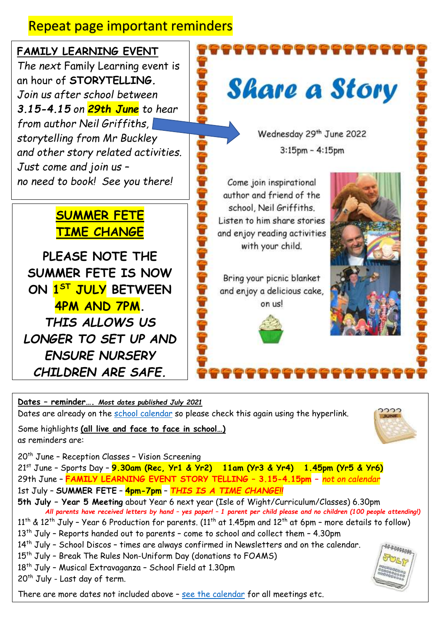## Repeat page important reminders

**FAMILY LEARNING EVENT** The next Family Learning event is an hour of **STORYTELLING***. Join us after school between 3.15-4.15 on 29th June to hear from author Neil Griffiths, storytelling from Mr Buckley and other story related activities. Just come and join us – no need to book! See you there!*

### **SUMMER FETE TIME CHANGE**

**PLEASE NOTE THE SUMMER FETE IS NOW ON 1 ST JULY BETWEEN 4PM AND 7PM.** *THIS ALLOWS US LONGER TO SET UP AND ENSURE NURSERY CHILDREN ARE SAFE.*

**Share a Story** 

Wednesday 29th June 2022  $3:15$ pm -  $4:15$ pm

Come join inspirational author and friend of the school Neil Griffiths Listen to him share stories and enjoy reading activities with your child.

Bring your picnic blanket and enjoy a delicious cake, on usl





**Dates – reminder….** *Most dates published July 2021* Dates are already on the [school calendar](https://www.abbeymeads.swindon.sch.uk/_files/ugd/64c1c7_0e176d3798b141f2a49e24144210a91d.pdf) so please check this again using the hyperlink.

Some highlights **(all live and face to face in school…)** as reminders are:

20<sup>th</sup> June - Reception Classes - Vision Screening

21st June – Sports Day – **9.30am (Rec, Yr1 & Yr2) 11am (Yr3 & Yr4) 1.45pm (Yr5 & Yr6)** 29th June – **FAMILY LEARNING EVENT STORY TELLING – 3.15-4.15pm –** *not on calendar* 1st July – **SUMMER FETE** – **4pm-7pm** – *THIS IS A TIME CHANGE!!*

**5th July – Year 5 Meeting** about Year 6 next year (Isle of Wight/Curriculum/Classes) 6.30pm  *All parents have received letters by hand – yes paper! – 1 parent per child please and no children (100 people attending!)*  $11<sup>th</sup>$  &  $12<sup>th</sup>$  July - Year 6 Production for parents. (11<sup>th</sup> at 1.45pm and  $12<sup>th</sup>$  at 6pm - more details to follow)  $13<sup>th</sup>$  July - Reports handed out to parents - come to school and collect them - 4.30pm

14<sup>th</sup> July - School Discos - times are always confirmed in Newsletters and on the calendar.

- 15<sup>th</sup> July Break The Rules Non-Uniform Day (donations to FOAMS)
- 18<sup>th</sup> July Musical Extravaganza School Field at 1.30pm

 $20<sup>th</sup>$  July - Last day of term.

There are more dates not included above – [see the calendar](https://www.abbeymeads.swindon.sch.uk/_files/ugd/64c1c7_0e176d3798b141f2a49e24144210a91d.pdf) for all meetings etc.